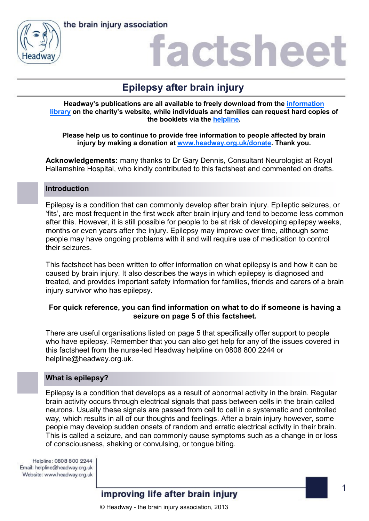



### actshee

### **Epilepsy after brain injury**

**Headway's publications are all available to freely download from the [information](https://www.headway.org.uk/about-brain-injury/individuals/information-library/)  [library](https://www.headway.org.uk/about-brain-injury/individuals/information-library/) on the charity's website, while individuals and families can request hard copies of the booklets via the [helpline.](https://www.headway.org.uk/supporting-you/helpline/)**

**Please help us to continue to provide free information to people affected by brain injury by making a donation at [www.headway.org.uk/donate.](http://www.headway.org.uk/donate) Thank you.**

**Acknowledgements:** many thanks to Dr Gary Dennis, Consultant Neurologist at Royal Hallamshire Hospital, who kindly contributed to this factsheet and commented on drafts.

### **Introduction**

Epilepsy is a condition that can commonly develop after brain injury. Epileptic seizures, or 'fits', are most frequent in the first week after brain injury and tend to become less common after this. However, it is still possible for people to be at risk of developing epilepsy weeks, months or even years after the injury. Epilepsy may improve over time, although some people may have ongoing problems with it and will require use of medication to control their seizures.

This factsheet has been written to offer information on what epilepsy is and how it can be caused by brain injury. It also describes the ways in which epilepsy is diagnosed and treated, and provides important safety information for families, friends and carers of a brain injury survivor who has epilepsy.

### **For quick reference, you can find information on what to do if someone is having a seizure on page 5 of this factsheet.**

There are useful organisations listed on page 5 that specifically offer support to people who have epilepsy. Remember that you can also get help for any of the issues covered in this factsheet from the nurse-led Headway helpline on 0808 800 2244 or helpline@headway.org.uk.

### **What is epilepsy?**

Epilepsy is a condition that develops as a result of abnormal activity in the brain. Regular brain activity occurs through electrical signals that pass between cells in the brain called neurons. Usually these signals are passed from cell to cell in a systematic and controlled way, which results in all of our thoughts and feelings. After a brain injury however, some people may develop sudden onsets of random and erratic electrical activity in their brain. This is called a seizure, and can commonly cause symptoms such as a change in or loss of consciousness, shaking or convulsing, or tongue biting.

Helpline: 0808 800 2244 Email: helpline@headway.org.uk Website: www.headway.org.uk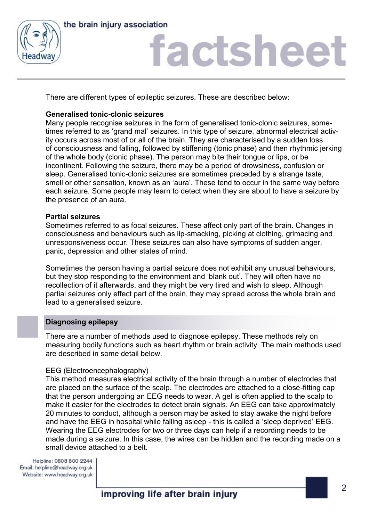



## factsheet

There are different types of epileptic seizures. These are described below:

### **Generalised tonic-clonic seizures**

Many people recognise seizures in the form of generalised tonic-clonic seizures, sometimes referred to as 'grand mal' seizures. In this type of seizure, abnormal electrical activity occurs across most of or all of the brain. They are characterised by a sudden loss of consciousness and falling, followed by stiffening (tonic phase) and then rhythmic jerking of the whole body (clonic phase). The person may bite their tongue or lips, or be incontinent. Following the seizure, there may be a period of drowsiness, confusion or sleep. Generalised tonic-clonic seizures are sometimes preceded by a strange taste, smell or other sensation, known as an 'aura'. These tend to occur in the same way before each seizure. Some people may learn to detect when they are about to have a seizure by the presence of an aura.

### **Partial seizures**

Sometimes referred to as focal seizures. These affect only part of the brain. Changes in consciousness and behaviours such as lip-smacking, picking at clothing, grimacing and unresponsiveness occur. These seizures can also have symptoms of sudden anger, panic, depression and other states of mind.

Sometimes the person having a partial seizure does not exhibit any unusual behaviours, but they stop responding to the environment and 'blank out'. They will often have no recollection of it afterwards, and they might be very tired and wish to sleep. Although partial seizures only effect part of the brain, they may spread across the whole brain and lead to a generalised seizure.

### **Diagnosing epilepsy**

There are a number of methods used to diagnose epilepsy. These methods rely on measuring bodily functions such as heart rhythm or brain activity. The main methods used are described in some detail below.

### EEG (Electroencephalography)

This method measures electrical activity of the brain through a number of electrodes that are placed on the surface of the scalp. The electrodes are attached to a close-fitting cap that the person undergoing an EEG needs to wear. A gel is often applied to the scalp to make it easier for the electrodes to detect brain signals. An EEG can take approximately 20 minutes to conduct, although a person may be asked to stay awake the night before and have the EEG in hospital while falling asleep - this is called a 'sleep deprived' EEG. Wearing the EEG electrodes for two or three days can help if a recording needs to be made during a seizure. In this case, the wires can be hidden and the recording made on a small device attached to a belt.

Helpline: 0808 800 2244 Email: helpline@headway.org.uk Website: www.headway.org.uk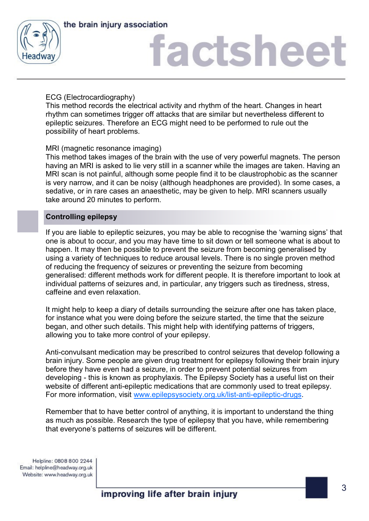



## factsheet

### ECG (Electrocardiography)

This method records the electrical activity and rhythm of the heart. Changes in heart rhythm can sometimes trigger off attacks that are similar but nevertheless different to epileptic seizures. Therefore an ECG might need to be performed to rule out the possibility of heart problems.

### MRI (magnetic resonance imaging)

This method takes images of the brain with the use of very powerful magnets. The person having an MRI is asked to lie very still in a scanner while the images are taken. Having an MRI scan is not painful, although some people find it to be claustrophobic as the scanner is very narrow, and it can be noisy (although headphones are provided). In some cases, a sedative, or in rare cases an anaesthetic, may be given to help. MRI scanners usually take around 20 minutes to perform.

### **Controlling epilepsy**

If you are liable to epileptic seizures, you may be able to recognise the 'warning signs' that one is about to occur, and you may have time to sit down or tell someone what is about to happen. It may then be possible to prevent the seizure from becoming generalised by using a variety of techniques to reduce arousal levels. There is no single proven method of reducing the frequency of seizures or preventing the seizure from becoming generalised: different methods work for different people. It is therefore important to look at individual patterns of seizures and, in particular, any triggers such as tiredness, stress, caffeine and even relaxation.

It might help to keep a diary of details surrounding the seizure after one has taken place, for instance what you were doing before the seizure started, the time that the seizure began, and other such details. This might help with identifying patterns of triggers, allowing you to take more control of your epilepsy.

Anti-convulsant medication may be prescribed to control seizures that develop following a brain injury. Some people are given drug treatment for epilepsy following their brain injury before they have even had a seizure, in order to prevent potential seizures from developing - this is known as prophylaxis. The Epilepsy Society has a useful list on their website of different anti-epileptic medications that are commonly used to treat epilepsy. For more information, visit [www.epilepsysociety.org.uk/list-anti-epileptic-drugs.](https://www.epilepsysociety.org.uk/list-anti-epileptic-drugs#.WDbIkbKLS70)

Remember that to have better control of anything, it is important to understand the thing as much as possible. Research the type of epilepsy that you have, while remembering that everyone's patterns of seizures will be different.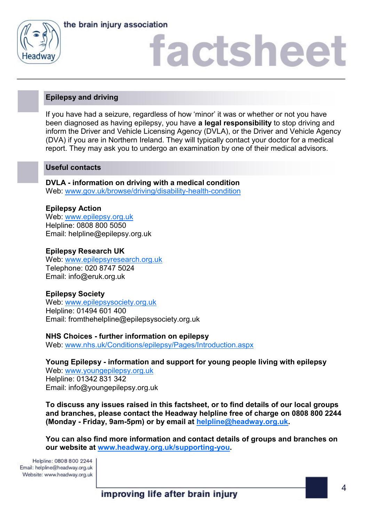



# factshee<sup>®</sup>

### **Epilepsy and driving**

If you have had a seizure, regardless of how 'minor' it was or whether or not you have been diagnosed as having epilepsy, you have **a legal responsibility** to stop driving and inform the Driver and Vehicle Licensing Agency (DVLA), or the Driver and Vehicle Agency (DVA) if you are in Northern Ireland. They will typically contact your doctor for a medical report. They may ask you to undergo an examination by one of their medical advisors.

### **Useful contacts**

**DVLA - information on driving with a medical condition** Web: [www.gov.uk/browse/driving/disability-health-condition](https://www.gov.uk/browse/driving/disability-health-condition)

### **Epilepsy Action** Web: [www.epilepsy.org.uk](http://www.epilepsy.org.uk) Helpline: 0808 800 5050 Email: helpline@epilepsy.org.uk

### **Epilepsy Research UK**

Web: [www.epilepsyresearch.org.uk](http://www.epilepsyresearch.org.uk) Telephone: 020 8747 5024 Email: info@eruk.org.uk

### **Epilepsy Society**

Web: [www.epilepsysociety.org.uk](http://www.epilepsysociety.org.uk) Helpline: 01494 601 400 Email: fromthehelpline@epilepsysociety.org.uk

**NHS Choices - further information on epilepsy**

Web: [www.nhs.uk/Conditions/epilepsy/Pages/Introduction.aspx](http://www.nhs.uk/Conditions/epilepsy/Pages/Introduction.aspx)

**Young Epilepsy - information and support for young people living with epilepsy**

Web: [www.youngepilepsy.org.uk](http://www.youngepilepsy.org.uk/) Helpline: 01342 831 342 Email: info@youngepilepsy.org.uk

**To discuss any issues raised in this factsheet, or to find details of our local groups and branches, please contact the Headway helpline free of charge on 0808 800 2244 (Monday - Friday, 9am-5pm) or by email at [helpline@headway.org.uk.](mailto:helpline@headway.org.uk)** 

**You can also find more information and contact details of groups and branches on our website at [www.headway.org.uk/supporting-you.](https://www.headway.org.uk/supporting-you/in-your-area/groups-and-branches/)** 

Helpline: 0808 800 2244 Email: helpline@headway.org.uk Website: www.headway.org.uk